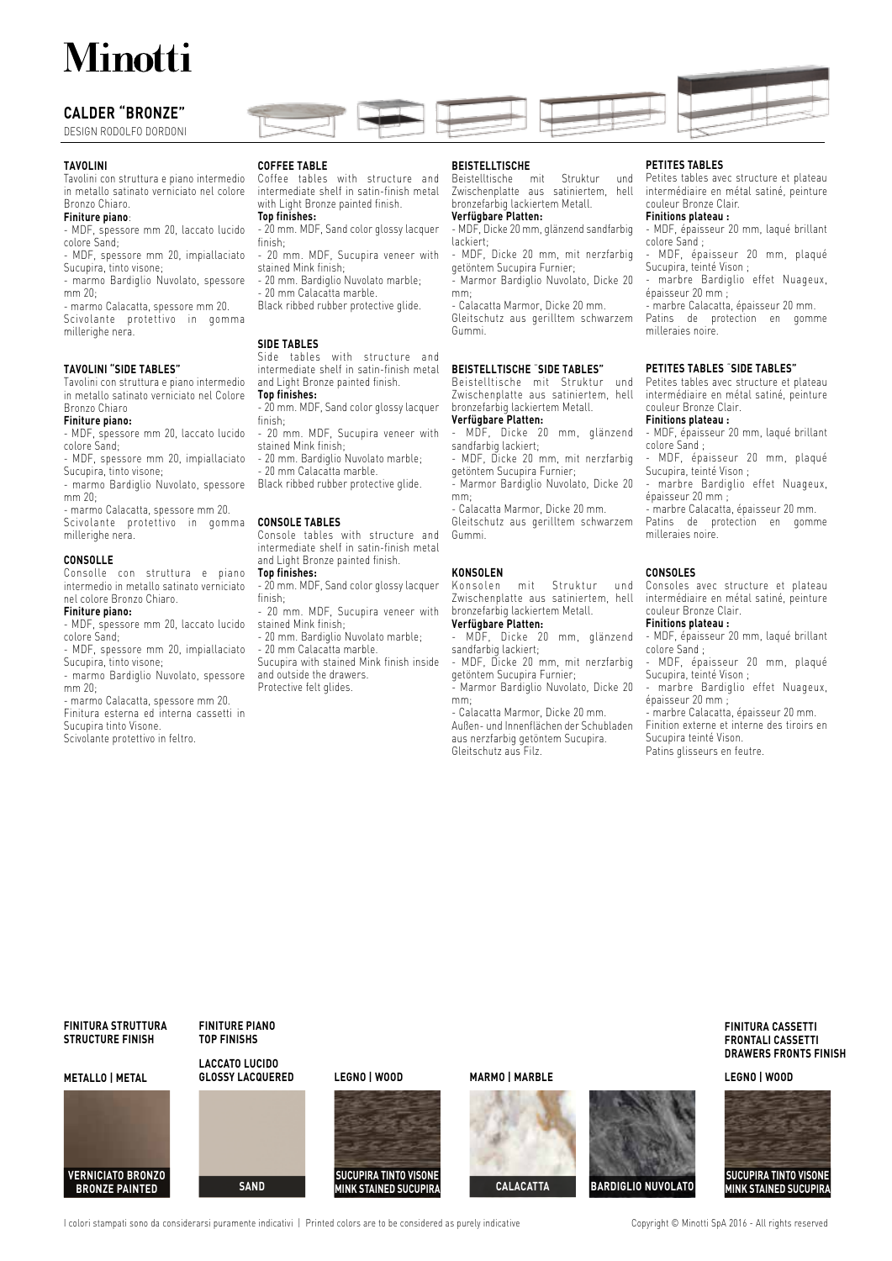# **Minotti**

## **CALDER "BRONZE"**

DESIGN RODOLFO DORDONI

#### **TAVOLINI**

Tavolini con struttura e piano intermedio in metallo satinato verniciato nel colore Bronzo Chiaro.

### **Finiture piano**:

- MDF, spessore mm 20, laccato lucido colore Sand;

- MDF, spessore mm 20, impiallaciato
- Sucupira, tinto visone; - marmo Bardiglio Nuvolato, spessore
- mm 20; - marmo Calacatta, spessore mm 20.
- Scivolante protettivo in gomma millerighe nera.

## **TAVOLINI "SIDE TABLES"**

Tavolini con struttura e piano intermedio in metallo satinato verniciato nel Colore Bronzo Chiaro

### **Finiture piano:**

- MDF, spessore mm 20, laccato lucido colore Sand;

- MDF, spessore mm 20, impiallaciato Sucupira, tinto visone;

- marmo Bardiglio Nuvolato, spessore mm 20;
- marmo Calacatta, spessore mm 20. Scivolante protettivo in gomma millerighe nera.

## **CONSOLLE**

Consolle con struttura e piano intermedio in metallo satinato verniciato nel colore Bronzo Chiaro.

## **Finiture piano:**

- MDF, spessore mm 20, laccato lucido colore Sand;

- MDF, spessore mm 20, impiallaciato Sucupira, tinto visone;
- marmo Bardiglio Nuvolato, spessore mm 20;

- marmo Calacatta, spessore mm 20. Finitura esterna ed interna cassetti in

Sucupira tinto Visone.

Scivolante protettivo in feltro.

## **COFFEE TABLE**

Coffee tables with structure and intermediate shelf in satin-finish metal with Light Bronze painted finish.

## **Top finishes:**

- 20 mm. MDF, Sand color glossy lacquer finish; - 20 mm. MDF, Sucupira veneer with
- stained Mink finish;
- 20 mm. Bardiglio Nuvolato marble;
- 20 mm Calacatta marble
- Black ribbed rubber protective glide.

#### **SIDE TABLES**

Side tables with structure and intermediate shelf in satin-finish metal and Light Bronze painted finish.

#### **Top finishes:**

- 20 mm. MDF, Sand color glossy lacquer finish;
- 20 mm. MDF, Sucupira veneer with stained Mink finish;
- 20 mm. Bardiglio Nuvolato marble;
- 20 mm Calacatta marble.
- Black ribbed rubber protective glide.

#### **CONSOLE TABLES**

Console tables with structure and intermediate shelf in satin-finish metal and Light Bronze painted finish. **Top finishes:**

- 20 mm. MDF, Sand color glossy lacquer finish;
- 20 mm. MDF, Sucupira veneer with stained Mink finish;
- 20 mm. Bardiglio Nuvolato marble;
- 20 mm Calacatta marble.
- Sucupira with stained Mink finish inside and outside the drawers.
- Protective felt glides.

## **BEISTELLTISCHE**

Gummi.

Beistelltische mit Struktur und Zwischenplatte aus satiniertem, hell bronzefarbig lackiertem Metall.

## **Verfügbare Platten:**

- MDF, Dicke 20 mm, glänzend sandfarbig lackiert; - MDF, Dicke 20 mm, mit nerzfarbig
- getöntem Sucupira Furnier; - Marmor Bardiglio Nuvolato, Dicke 20
- mm; - Calacatta Marmor, Dicke 20 mm.
- Gleitschutz aus gerilltem schwarzem

# **BEISTELLTISCHE** "**SIDE TABLES"**

Beistelltische mit Struktur und Zwischenplatte aus satiniertem, hell bronzefarbig lackiertem Metall.

# **Verfügbare Platten:**

- MDF, Dicke 20 mm, glänzend sandfarbig lackiert; - MDF, Dicke 20 mm, mit nerzfarbig

- getöntem Sucupira Furnier;
- Marmor Bardiglio Nuvolato, Dicke 20 mm;

- Calacatta Marmor, Dicke 20 mm.

Gleitschutz aus gerilltem schwarzem Gummi.

# **KONSOLEN**

mit Struktur und Zwischenplatte aus satiniertem, hell bronzefarbig lackiertem Metall. **Verfügbare Platten:**

- MDF, Dicke 20 mm, glänzend sandfarbig lackiert;
- MDF, Dicke 20 mm, mit nerzfarbig getöntem Sucupira Furnier;

- Marmor Bardiglio Nuvolato, Dicke 20 mm;

- Calacatta Marmor, Dicke 20 mm. Außen- und Innenflächen der Schubladen aus nerzfarbig getöntem Sucupira. Gleitschutz aus Filz.

#### **PETITES TABLES**

Petites tables avec structure et plateau intermédiaire en métal satiné, peinture couleur Bronze Clair.

## **Finitions plateau :**

- MDF, épaisseur 20 mm, laqué brillant colore Sand ; - MDF, épaisseur 20 mm, plaqué

Sucupira, teinté Vison ; - marbre Bardiglio effet Nuageux,

épaisseur 20 mm ;

- marbre Calacatta, épaisseur 20 mm. Patins de protection en gomme milleraies noire.

### **PETITES TABLES** "**SIDE TABLES"**

Petites tables avec structure et plateau intermédiaire en métal satiné, peinture couleur Bronze Clair.

## **Finitions plateau :**

- MDF, épaisseur 20 mm, laqué brillant colore Sand ;

- MDF, épaisseur 20 mm, plaqué Sucupira, teinté Vison ; - marbre Bardiglio effet Nuageux,

épaisseur 20 mm ; - marbre Calacatta, épaisseur 20 mm.

Patins de protection en gomme milleraies noire.

### **CONSOLES**

Consoles avec structure et plateau intermédiaire en métal satiné, peinture couleur Bronze Clair.

#### **Finitions plateau :**

- MDF, épaisseur 20 mm, laqué brillant colore Sand ;

- MDF, épaisseur 20 mm, plaqué Sucupira, teinté Vison ;

- marbre Bardiglio effet Nuageux, épaisseur 20 mm ;

- marbre Calacatta, épaisseur 20 mm. Finition externe et interne des tiroirs en

> **FINITURA CASSETTI FRONTALI CASSETTI DRAWERS FRONTS FINISH**

**SUCUPIRA TINTO VISONE**

Sucupira teinté Vison.

Patins glisseurs en feutre.

**FINITURA STRUTTURA STRUCTURE FINISH**

**METALLO | METAL**



**LACCATO LUCIDO FINITURE PIANO TOP FINISHS**

## **GLOSSY LACQUERED LEGNO | WOOD MARMO | MARBLE LEGNO | WOOD**

I colori stampati sono da considerarsi puramente indicativi | Printed colors are to be considered as purely indicative Copyright © Minotti SpA 2016 - All rights reserved

**MINK STAINED SUCUPIRA SAND CALACATTA BARDIGLIO NUVOLATO MINK STAINED SUCUPIRA**

**SUCUPIRA TINTO VISONE**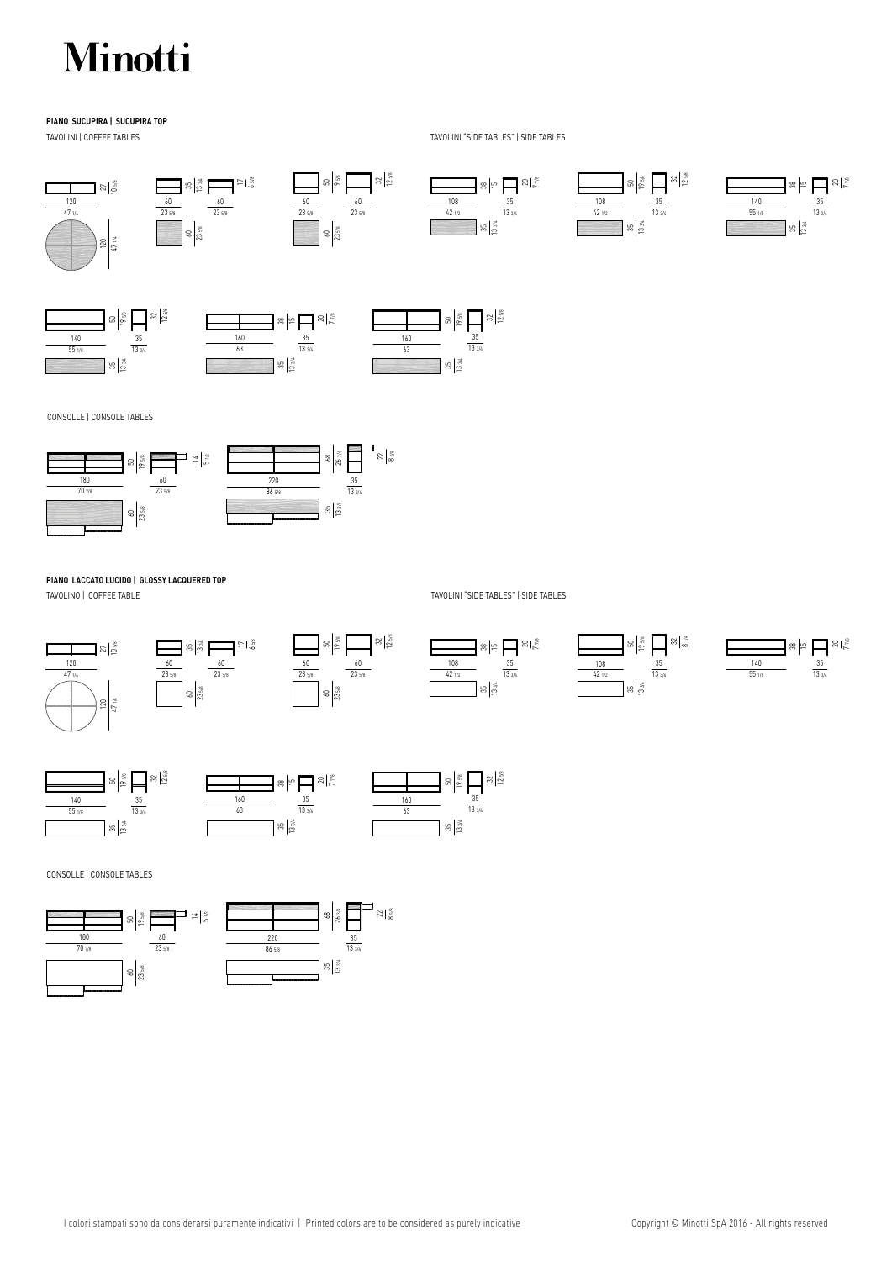# Minotti

## **PIANO SUCUPIRA | SUCUPIRA TOP**

TAVOLINI | COFFEE TABLES TAVOLINI "SIDE TABLES" | SIDE TABLES





CONSOLLE | CONSOLE TABLES CONSOLLE | CONSOLE TABLES



# **PIANO LACCATO LUCIDO | GLOSSY LACQUERED TOP**

TAVOLINO | COFFEE TABLE TAVOLINI "SIDE TABLES" | SIDE TABLES











CONSOLLE | CONSOLE TABLES